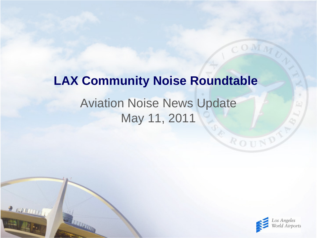## Aviation Noise News Update May 11, 2011 **LAX Community Noise Roundtable**

 $\frac{1}{2}$  running



ROUND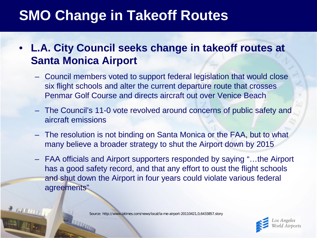### **SMO Change in Takeoff Routes**

#### • **L.A. City Council seeks change in takeoff routes at Santa Monica Airport**

- Council members voted to support federal legislation that would close six flight schools and alter the current departure route that crosses Penmar Golf Course and directs aircraft out over Venice Beach
- The Council's 11-0 vote revolved around concerns of public safety and aircraft emissions
- The resolution is not binding on Santa Monica or the FAA, but to what many believe a broader strategy to shut the Airport down by 2015
- FAA officials and Airport supporters responded by saying "…the Airport has a good safety record, and that any effort to oust the flight schools and shut down the Airport in four years could violate various federal agreements"

Source: http://www.latimes.com/news/local/la-me-airport-20110421,0,6433857.story

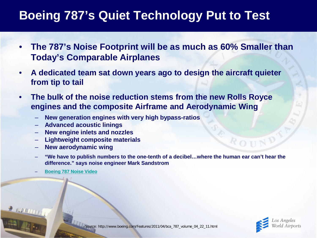### **Boeing 787's Quiet Technology Put to Test**

- **The 787's Noise Footprint will be as much as 60% Smaller than Today's Comparable Airplanes**
- **A dedicated team sat down years ago to design the aircraft quieter from tip to tail**
- **The bulk of the noise reduction stems from the new Rolls Royce engines and the composite Airframe and Aerodynamic Wing**
	- **New generation engines with very high bypass-ratios**
	- **Advanced acoustic linings**
	- **New engine inlets and nozzles**
	- **Lightweight composite materials**
	- **New aerodynamic wing**
	- **"We have to publish numbers to the one-tenth of a decibel…where the human ear can't hear the difference." says noise engineer Mark Sandstrom**
	- **[Boeing 787 Noise Video](http://www.boeing.com/Features/2011/04/bca_787_volume_04_22_11.html)**



Source: http://www.boeing.com/Features/2011/04/bca\_787\_volume\_04\_22\_11.html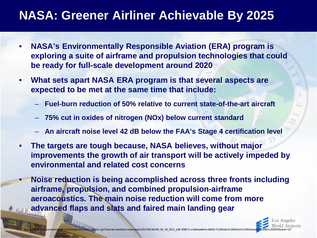### **NASA: Greener Airliner Achievable By 2025**

- **NASA's Environmentally Responsible Aviation (ERA) program is exploring a suite of airframe and propulsion technologies that could be ready for full-scale development around 2020**
- **What sets apart NASA ERA program is that several aspects are expected to be met at the same time that include:**
	- **Fuel-burn reduction of 50% relative to current state-of-the-art aircraft**
	- **75% cut in oxides of nitrogen (NOx) below current standard**
	- **An aircraft noise level 42 dB below the FAA's Stage 4 certification level**
- **The targets are tough because, NASA believes, without major improvements the growth of air transport will be actively impeded by environmental and related cost concerns**
- **Noise reduction is being accomplished across three fronts including airframe, propulsion, and combined propulsion-airframe aeroacoustics. The main noise reduction will come from more advanced flaps and slats and faired main landing gear**

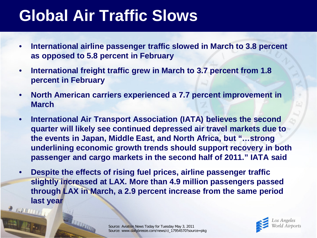# **Global Air Traffic Slows**

- **International airline passenger traffic slowed in March to 3.8 percent as opposed to 5.8 percent in February**
- **International freight traffic grew in March to 3.7 percent from 1.8 percent in February**
- **North American carriers experienced a 7.7 percent improvement in March**
- **International Air Transport Association (IATA) believes the second quarter will likely see continued depressed air travel markets due to the events in Japan, Middle East, and North Africa, but "…strong underlining economic growth trends should support recovery in both passenger and cargo markets in the second half of 2011." IATA said**
- **Despite the effects of rising fuel prices, airline passenger traffic slightly increased at LAX. More than 4.9 million passengers passed through LAX in March, a 2.9 percent increase from the same period last year**

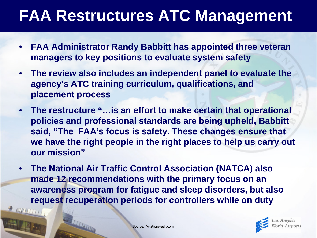# **FAA Restructures ATC Management**

- **FAA Administrator Randy Babbitt has appointed three veteran managers to key positions to evaluate system safety**
- **The review also includes an independent panel to evaluate the agency's ATC training curriculum, qualifications, and placement process**
- **The restructure "…is an effort to make certain that operational policies and professional standards are being upheld, Babbitt said, "The FAA's focus is safety. These changes ensure that we have the right people in the right places to help us carry out our mission"**
- **The National Air Traffic Control Association (NATCA) also made 12 recommendations with the primary focus on an awareness program for fatigue and sleep disorders, but also request recuperation periods for controllers while on duty**

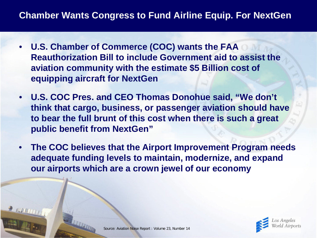#### **Chamber Wants Congress to Fund Airline Equip. For NextGen**

- **U.S. Chamber of Commerce (COC) wants the FAA Reauthorization Bill to include Government aid to assist the aviation community with the estimate \$5 Billion cost of equipping aircraft for NextGen**
- **U.S. COC Pres. and CEO Thomas Donohue said, "We don't think that cargo, business, or passenger aviation should have to bear the full brunt of this cost when there is such a great public benefit from NextGen"**
- **The COC believes that the Airport Improvement Program needs adequate funding levels to maintain, modernize, and expand our airports which are a crown jewel of our economy**